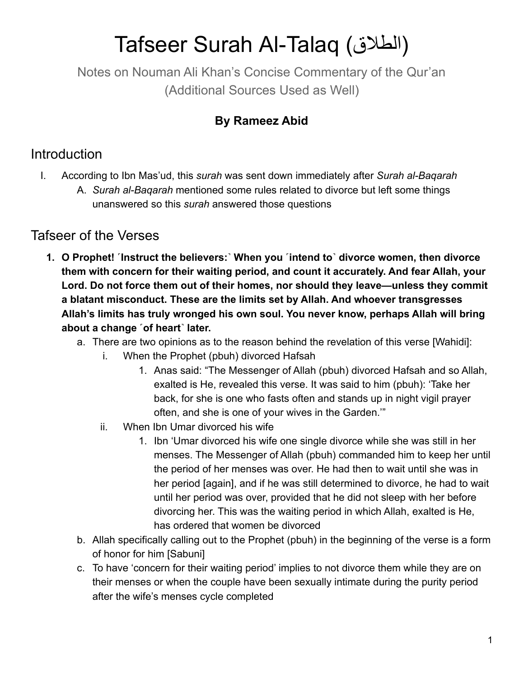## Tafseer Surah Al-Talaq (الطلاق)

Notes on Nouman Ali Khan's Concise Commentary of the Qur'an (Additional Sources Used as Well)

## **By Rameez Abid**

## Introduction

- I. According to Ibn Mas'ud, this *surah* was sent down immediately after *Surah al-Baqarah*
	- A. *Surah al-Baqarah* mentioned some rules related to divorce but left some things unanswered so this *surah* answered those questions

## Tafseer of the Verses

- **1. O Prophet! ˹Instruct the believers:˺ When you ˹intend to˺ divorce women, then divorce them with concern for their waiting period, and count it accurately. And fear Allah, your Lord. Do not force them out of their homes, nor should they leave—unless they commit a blatant misconduct. These are the limits set by Allah. And whoever transgresses Allah's limits has truly wronged his own soul. You never know, perhaps Allah will bring about a change ˹of heart˺ later.**
	- a. There are two opinions as to the reason behind the revelation of this verse [Wahidi]:
		- i. When the Prophet (pbuh) divorced Hafsah
			- 1. Anas said: "The Messenger of Allah (pbuh) divorced Hafsah and so Allah, exalted is He, revealed this verse. It was said to him (pbuh): 'Take her back, for she is one who fasts often and stands up in night vigil prayer often, and she is one of your wives in the Garden.'"
		- ii. When Ibn Umar divorced his wife
			- 1. Ibn 'Umar divorced his wife one single divorce while she was still in her menses. The Messenger of Allah (pbuh) commanded him to keep her until the period of her menses was over. He had then to wait until she was in her period [again], and if he was still determined to divorce, he had to wait until her period was over, provided that he did not sleep with her before divorcing her. This was the waiting period in which Allah, exalted is He, has ordered that women be divorced
	- b. Allah specifically calling out to the Prophet (pbuh) in the beginning of the verse is a form of honor for him [Sabuni]
	- c. To have 'concern for their waiting period' implies to not divorce them while they are on their menses or when the couple have been sexually intimate during the purity period after the wife's menses cycle completed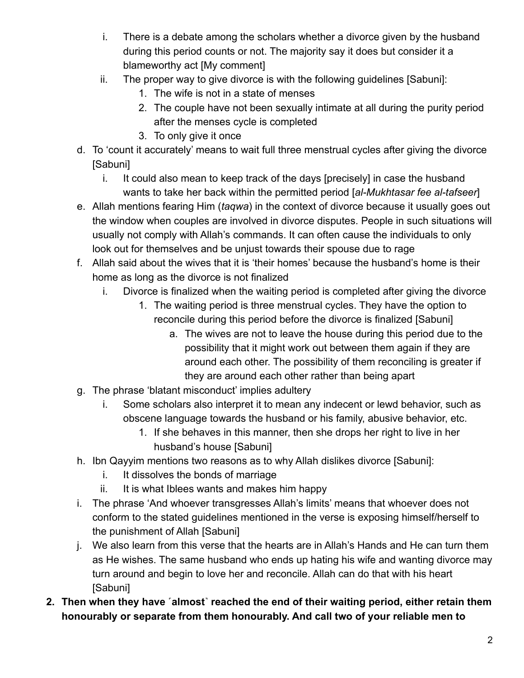- i. There is a debate among the scholars whether a divorce given by the husband during this period counts or not. The majority say it does but consider it a blameworthy act [My comment]
- ii. The proper way to give divorce is with the following guidelines [Sabuni]:
	- 1. The wife is not in a state of menses
	- 2. The couple have not been sexually intimate at all during the purity period after the menses cycle is completed
	- 3. To only give it once
- d. To 'count it accurately' means to wait full three menstrual cycles after giving the divorce [Sabuni]
	- i. It could also mean to keep track of the days [precisely] in case the husband wants to take her back within the permitted period [*al-Mukhtasar fee al-tafseer*]
- e. Allah mentions fearing Him (*taqwa*) in the context of divorce because it usually goes out the window when couples are involved in divorce disputes. People in such situations will usually not comply with Allah's commands. It can often cause the individuals to only look out for themselves and be unjust towards their spouse due to rage
- f. Allah said about the wives that it is 'their homes' because the husband's home is their home as long as the divorce is not finalized
	- i. Divorce is finalized when the waiting period is completed after giving the divorce
		- 1. The waiting period is three menstrual cycles. They have the option to reconcile during this period before the divorce is finalized [Sabuni]
			- a. The wives are not to leave the house during this period due to the possibility that it might work out between them again if they are around each other. The possibility of them reconciling is greater if they are around each other rather than being apart
- g. The phrase 'blatant misconduct' implies adultery
	- i. Some scholars also interpret it to mean any indecent or lewd behavior, such as obscene language towards the husband or his family, abusive behavior, etc.
		- 1. If she behaves in this manner, then she drops her right to live in her husband's house [Sabuni]
- h. Ibn Qayyim mentions two reasons as to why Allah dislikes divorce [Sabuni]:
	- i. It dissolves the bonds of marriage
	- ii. It is what Iblees wants and makes him happy
- i. The phrase 'And whoever transgresses Allah's limits' means that whoever does not conform to the stated guidelines mentioned in the verse is exposing himself/herself to the punishment of Allah [Sabuni]
- j. We also learn from this verse that the hearts are in Allah's Hands and He can turn them as He wishes. The same husband who ends up hating his wife and wanting divorce may turn around and begin to love her and reconcile. Allah can do that with his heart [Sabuni]
- **2. Then when they have ˹almost˺ reached the end of their waiting period, either retain them honourably or separate from them honourably. And call two of your reliable men to**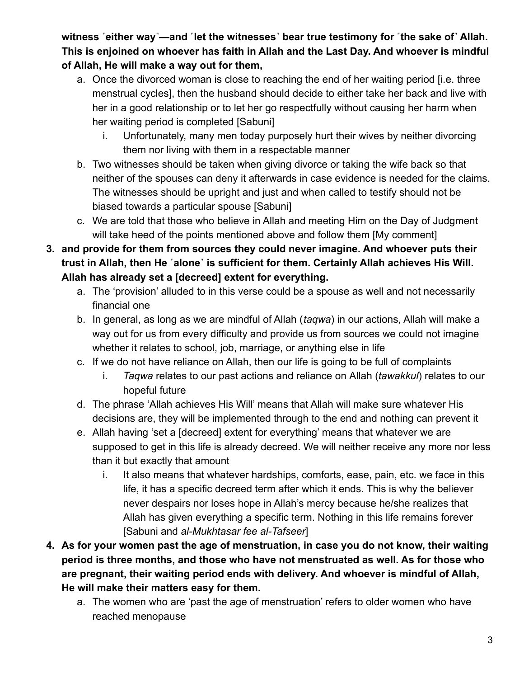witness  $\epsilon$  either way —and  $\epsilon$  let the witnesses bear true testimony for  $\epsilon$  the sake of Allah. **This is enjoined on whoever has faith in Allah and the Last Day. And whoever is mindful of Allah, He will make a way out for them,**

- a. Once the divorced woman is close to reaching the end of her waiting period [i.e. three menstrual cycles], then the husband should decide to either take her back and live with her in a good relationship or to let her go respectfully without causing her harm when her waiting period is completed [Sabuni]
	- i. Unfortunately, many men today purposely hurt their wives by neither divorcing them nor living with them in a respectable manner
- b. Two witnesses should be taken when giving divorce or taking the wife back so that neither of the spouses can deny it afterwards in case evidence is needed for the claims. The witnesses should be upright and just and when called to testify should not be biased towards a particular spouse [Sabuni]
- c. We are told that those who believe in Allah and meeting Him on the Day of Judgment will take heed of the points mentioned above and follow them [My comment]
- **3. and provide for them from sources they could never imagine. And whoever puts their trust in Allah, then He ˹alone˺ is sufficient for them. Certainly Allah achieves His Will. Allah has already set a [decreed] extent for everything.**
	- a. The 'provision' alluded to in this verse could be a spouse as well and not necessarily financial one
	- b. In general, as long as we are mindful of Allah (*taqwa*) in our actions, Allah will make a way out for us from every difficulty and provide us from sources we could not imagine whether it relates to school, job, marriage, or anything else in life
	- c. If we do not have reliance on Allah, then our life is going to be full of complaints
		- i. *Taqwa* relates to our past actions and reliance on Allah (*tawakkul*) relates to our hopeful future
	- d. The phrase 'Allah achieves His Will' means that Allah will make sure whatever His decisions are, they will be implemented through to the end and nothing can prevent it
	- e. Allah having 'set a [decreed] extent for everything' means that whatever we are supposed to get in this life is already decreed. We will neither receive any more nor less than it but exactly that amount
		- i. It also means that whatever hardships, comforts, ease, pain, etc. we face in this life, it has a specific decreed term after which it ends. This is why the believer never despairs nor loses hope in Allah's mercy because he/she realizes that Allah has given everything a specific term. Nothing in this life remains forever [Sabuni and *al-Mukhtasar fee al-Tafseer*]
- **4. As for your women past the age of menstruation, in case you do not know, their waiting period is three months, and those who have not menstruated as well. As for those who are pregnant, their waiting period ends with delivery. And whoever is mindful of Allah, He will make their matters easy for them.**
	- a. The women who are 'past the age of menstruation' refers to older women who have reached menopause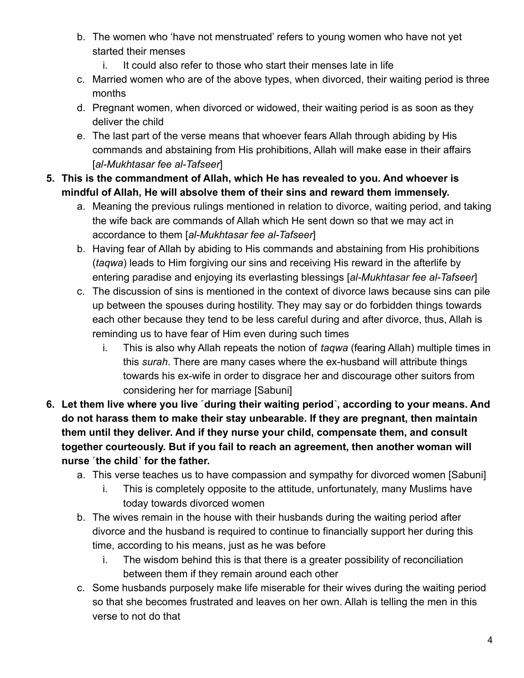- b. The women who 'have not menstruated' refers to young women who have not yet started their menses
	- i. It could also refer to those who start their menses late in life
- c. Married women who are of the above types, when divorced, their waiting period is three months
- d. Pregnant women, when divorced or widowed, their waiting period is as soon as they deliver the child
- e. The last part of the verse means that whoever fears Allah through abiding by His commands and abstaining from His prohibitions, Allah will make ease in their affairs [*al-Mukhtasar fee al-Tafseer*]
- **5. This is the commandment of Allah, which He has revealed to you. And whoever is mindful of Allah, He will absolve them of their sins and reward them immensely.**
	- a. Meaning the previous rulings mentioned in relation to divorce, waiting period, and taking the wife back are commands of Allah which He sent down so that we may act in accordance to them [*al-Mukhtasar fee al-Tafseer*]
	- b. Having fear of Allah by abiding to His commands and abstaining from His prohibitions (*taqwa*) leads to Him forgiving our sins and receiving His reward in the afterlife by entering paradise and enjoying its everlasting blessings [*al-Mukhtasar fee al-Tafseer*]
	- c. The discussion of sins is mentioned in the context of divorce laws because sins can pile up between the spouses during hostility. They may say or do forbidden things towards each other because they tend to be less careful during and after divorce, thus, Allah is reminding us to have fear of Him even during such times
		- i. This is also why Allah repeats the notion of *taqwa* (fearing Allah) multiple times in this *surah*. There are many cases where the ex-husband will attribute things towards his ex-wife in order to disgrace her and discourage other suitors from considering her for marriage [Sabuni]
- **6. Let them live where you live ˹during their waiting period˺, according to your means. And do not harass them to make their stay unbearable. If they are pregnant, then maintain them until they deliver. And if they nurse your child, compensate them, and consult together courteously. But if you fail to reach an agreement, then another woman will nurse ˹the child˺ for the father.**
	- a. This verse teaches us to have compassion and sympathy for divorced women [Sabuni]
		- i. This is completely opposite to the attitude, unfortunately, many Muslims have today towards divorced women
	- b. The wives remain in the house with their husbands during the waiting period after divorce and the husband is required to continue to financially support her during this time, according to his means, just as he was before
		- i. The wisdom behind this is that there is a greater possibility of reconciliation between them if they remain around each other
	- c. Some husbands purposely make life miserable for their wives during the waiting period so that she becomes frustrated and leaves on her own. Allah is telling the men in this verse to not do that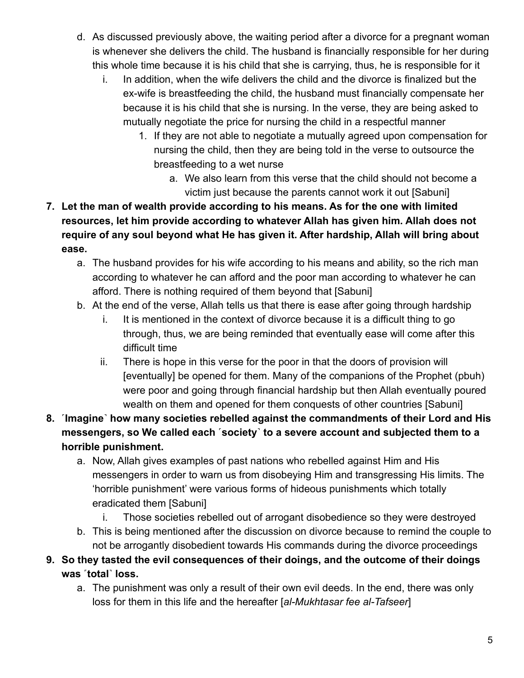- d. As discussed previously above, the waiting period after a divorce for a pregnant woman is whenever she delivers the child. The husband is financially responsible for her during this whole time because it is his child that she is carrying, thus, he is responsible for it
	- i. In addition, when the wife delivers the child and the divorce is finalized but the ex-wife is breastfeeding the child, the husband must financially compensate her because it is his child that she is nursing. In the verse, they are being asked to mutually negotiate the price for nursing the child in a respectful manner
		- 1. If they are not able to negotiate a mutually agreed upon compensation for nursing the child, then they are being told in the verse to outsource the breastfeeding to a wet nurse
			- a. We also learn from this verse that the child should not become a victim just because the parents cannot work it out [Sabuni]
- **7. Let the man of wealth provide according to his means. As for the one with limited resources, let him provide according to whatever Allah has given him. Allah does not require of any soul beyond what He has given it. After hardship, Allah will bring about ease.**
	- a. The husband provides for his wife according to his means and ability, so the rich man according to whatever he can afford and the poor man according to whatever he can afford. There is nothing required of them beyond that [Sabuni]
	- b. At the end of the verse, Allah tells us that there is ease after going through hardship
		- i. It is mentioned in the context of divorce because it is a difficult thing to go through, thus, we are being reminded that eventually ease will come after this difficult time
		- ii. There is hope in this verse for the poor in that the doors of provision will [eventually] be opened for them. Many of the companions of the Prophet (pbuh) were poor and going through financial hardship but then Allah eventually poured wealth on them and opened for them conquests of other countries [Sabuni]
- **8. ˹Imagine˺ how many societies rebelled against the commandments of their Lord and His messengers, so We called each ˹society˺ to a severe account and subjected them to a horrible punishment.**
	- a. Now, Allah gives examples of past nations who rebelled against Him and His messengers in order to warn us from disobeying Him and transgressing His limits. The 'horrible punishment' were various forms of hideous punishments which totally eradicated them [Sabuni]
		- i. Those societies rebelled out of arrogant disobedience so they were destroyed
	- b. This is being mentioned after the discussion on divorce because to remind the couple to not be arrogantly disobedient towards His commands during the divorce proceedings
- **9. So they tasted the evil consequences of their doings, and the outcome of their doings was ˹total˺ loss.**
	- a. The punishment was only a result of their own evil deeds. In the end, there was only loss for them in this life and the hereafter [*al-Mukhtasar fee al-Tafseer*]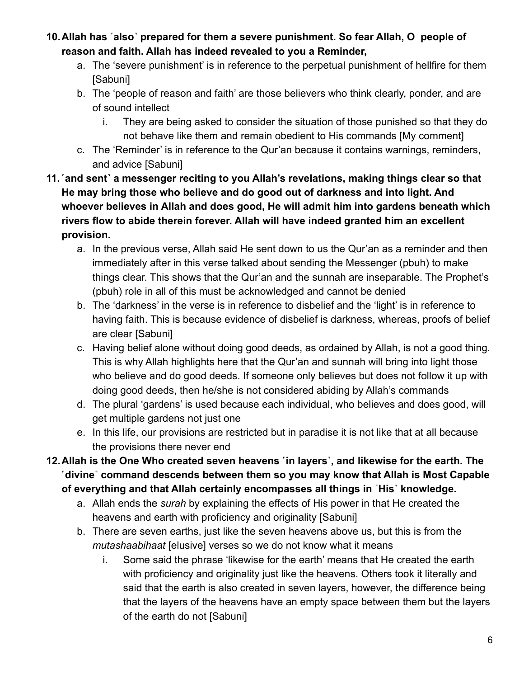- **10.Allah has ˹also˺ prepared for them a severe punishment. So fear Allah, O people of reason and faith. Allah has indeed revealed to you a Reminder,**
	- a. The 'severe punishment' is in reference to the perpetual punishment of hellfire for them [Sabuni]
	- b. The 'people of reason and faith' are those believers who think clearly, ponder, and are of sound intellect
		- i. They are being asked to consider the situation of those punished so that they do not behave like them and remain obedient to His commands [My comment]
	- c. The 'Reminder' is in reference to the Qur'an because it contains warnings, reminders, and advice [Sabuni]
- **11.˹and sent˺ a messenger reciting to you Allah's revelations, making things clear so that He may bring those who believe and do good out of darkness and into light. And whoever believes in Allah and does good, He will admit him into gardens beneath which rivers flow to abide therein forever. Allah will have indeed granted him an excellent provision.**
	- a. In the previous verse, Allah said He sent down to us the Qur'an as a reminder and then immediately after in this verse talked about sending the Messenger (pbuh) to make things clear. This shows that the Qur'an and the sunnah are inseparable. The Prophet's (pbuh) role in all of this must be acknowledged and cannot be denied
	- b. The 'darkness' in the verse is in reference to disbelief and the 'light' is in reference to having faith. This is because evidence of disbelief is darkness, whereas, proofs of belief are clear [Sabuni]
	- c. Having belief alone without doing good deeds, as ordained by Allah, is not a good thing. This is why Allah highlights here that the Qur'an and sunnah will bring into light those who believe and do good deeds. If someone only believes but does not follow it up with doing good deeds, then he/she is not considered abiding by Allah's commands
	- d. The plural 'gardens' is used because each individual, who believes and does good, will get multiple gardens not just one
	- e. In this life, our provisions are restricted but in paradise it is not like that at all because the provisions there never end
- **12.Allah is the One Who created seven heavens ˹in layers˺, and likewise for the earth. The ˹divine˺ command descends between them so you may know that Allah is Most Capable of everything and that Allah certainly encompasses all things in ˹His˺ knowledge.**
	- a. Allah ends the *surah* by explaining the effects of His power in that He created the heavens and earth with proficiency and originality [Sabuni]
	- b. There are seven earths, just like the seven heavens above us, but this is from the *mutashaabihaat* [elusive] verses so we do not know what it means
		- i. Some said the phrase 'likewise for the earth' means that He created the earth with proficiency and originality just like the heavens. Others took it literally and said that the earth is also created in seven layers, however, the difference being that the layers of the heavens have an empty space between them but the layers of the earth do not [Sabuni]